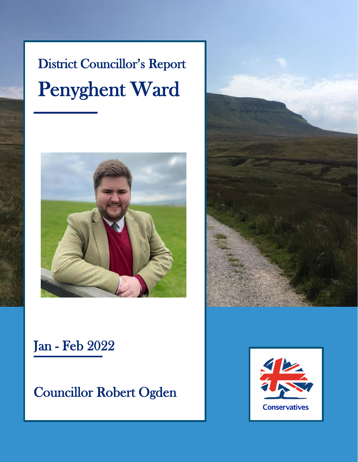# District Councillor's Report Penyghent Ward





Councillor Robert Ogden



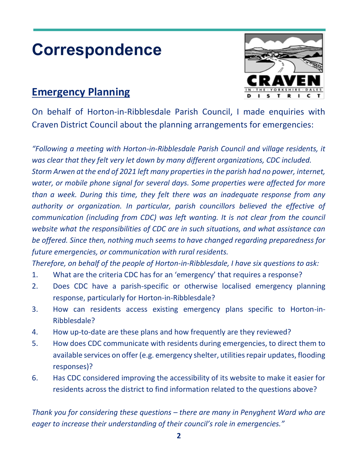# **Correspondence**

#### **Emergency Planning**



On behalf of Horton-in-Ribblesdale Parish Council, I made enquiries with Craven District Council about the planning arrangements for emergencies:

*"Following a meeting with Horton-in-Ribblesdale Parish Council and village residents, it was clear that they felt very let down by many different organizations, CDC included. Storm Arwen at the end of 2021 left many properties in the parish had no power, internet, water, or mobile phone signal for several days. Some properties were affected for more than a week. During this time, they felt there was an inadequate response from any authority or organization. In particular, parish councillors believed the effective of communication (including from CDC) was left wanting. It is not clear from the council website what the responsibilities of CDC are in such situations, and what assistance can be offered. Since then, nothing much seems to have changed regarding preparedness for future emergencies, or communication with rural residents.*

*Therefore, on behalf of the people of Horton-in-Ribblesdale, I have six questions to ask:*

- 1. What are the criteria CDC has for an 'emergency' that requires a response?
- 2. Does CDC have a parish-specific or otherwise localised emergency planning response, particularly for Horton-in-Ribblesdale?
- 3. How can residents access existing emergency plans specific to Horton-in-Ribblesdale?
- 4. How up-to-date are these plans and how frequently are they reviewed?
- 5. How does CDC communicate with residents during emergencies, to direct them to available services on offer (e.g. emergency shelter, utilities repair updates, flooding responses)?
- 6. Has CDC considered improving the accessibility of its website to make it easier for residents across the district to find information related to the questions above?

*Thank you for considering these questions – there are many in Penyghent Ward who are eager to increase their understanding of their council's role in emergencies."*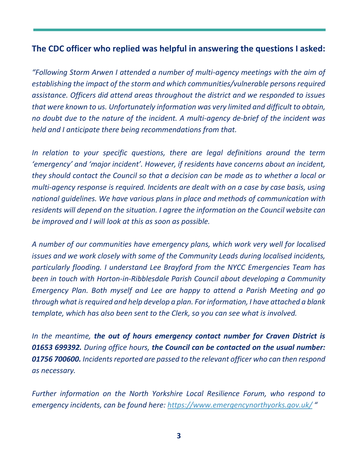#### **The CDC officer who replied was helpful in answering the questions I asked:**

*"Following Storm Arwen I attended a number of multi-agency meetings with the aim of establishing the impact of the storm and which communities/vulnerable persons required assistance. Officers did attend areas throughout the district and we responded to issues that were known to us. Unfortunately information was very limited and difficult to obtain, no doubt due to the nature of the incident. A multi-agency de-brief of the incident was held and I anticipate there being recommendations from that.* 

*In relation to your specific questions, there are legal definitions around the term 'emergency' and 'major incident'. However, if residents have concerns about an incident, they should contact the Council so that a decision can be made as to whether a local or multi-agency response is required. Incidents are dealt with on a case by case basis, using national guidelines. We have various plans in place and methods of communication with residents will depend on the situation. I agree the information on the Council website can be improved and I will look at this as soon as possible.*

*A number of our communities have emergency plans, which work very well for localised issues and we work closely with some of the Community Leads during localised incidents, particularly flooding. I understand Lee Brayford from the NYCC Emergencies Team has been in touch with Horton-in-Ribblesdale Parish Council about developing a Community Emergency Plan. Both myself and Lee are happy to attend a Parish Meeting and go through what is required and help develop a plan. For information, I have attached a blank template, which has also been sent to the Clerk, so you can see what is involved.* 

*In the meantime, the out of hours emergency contact number for Craven District is 01653 699392. During office hours, the Council can be contacted on the usual number: 01756 700600. Incidents reported are passed to the relevant officer who can then respond as necessary.* 

*Further information on the North Yorkshire Local Resilience Forum, who respond to emergency incidents, can be found here:<https://www.emergencynorthyorks.gov.uk/> "*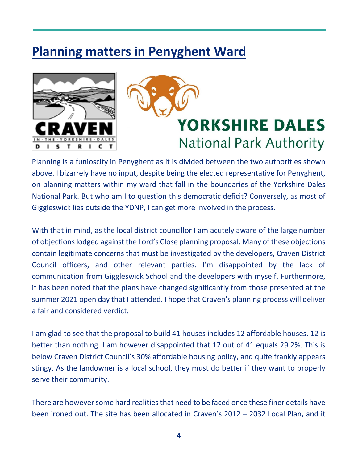## **Planning matters in Penyghent Ward**





Planning is a funioscity in Penyghent as it is divided between the two authorities shown above. I bizarrely have no input, despite being the elected representative for Penyghent, on planning matters within my ward that fall in the boundaries of the Yorkshire Dales National Park. But who am I to question this democratic deficit? Conversely, as most of Giggleswick lies outside the YDNP, I can get more involved in the process.

With that in mind, as the local district councillor I am acutely aware of the large number of objections lodged against the Lord's Close planning proposal. Many of these objections contain legitimate concerns that must be investigated by the developers, Craven District Council officers, and other relevant parties. I'm disappointed by the lack of communication from Giggleswick School and the developers with myself. Furthermore, it has been noted that the plans have changed significantly from those presented at the summer 2021 open day that I attended. I hope that Craven's planning process will deliver a fair and considered verdict.

I am glad to see that the proposal to build 41 houses includes 12 affordable houses. 12 is better than nothing. I am however disappointed that 12 out of 41 equals 29.2%. This is below Craven District Council's 30% affordable housing policy, and quite frankly appears stingy. As the landowner is a local school, they must do better if they want to properly serve their community.

There are however some hard realities that need to be faced once these finer details have been ironed out. The site has been allocated in Craven's 2012 – 2032 Local Plan, and it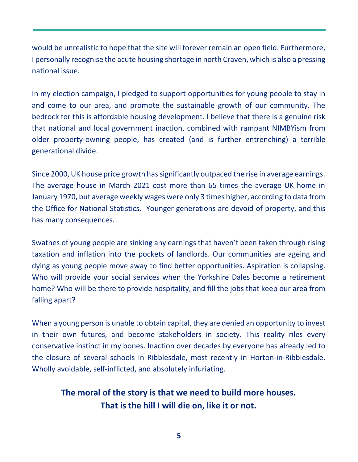would be unrealistic to hope that the site will forever remain an open field. Furthermore, I personally recognise the acute housing shortage in north Craven, which is also a pressing national issue.

In my election campaign, I pledged to support opportunities for young people to stay in and come to our area, and promote the sustainable growth of our community. The bedrock for this is affordable housing development. I believe that there is a genuine risk that national and local government inaction, combined with rampant NIMBYism from older property-owning people, has created (and is further entrenching) a terrible generational divide.

Since 2000, UK house price growth has significantly outpaced the rise in average earnings. The average house in March 2021 cost more than 65 times the average UK home in January 1970, but average weekly wages were only 3 times higher, according to data from the Office for National Statistics. Younger generations are devoid of property, and this has many consequences.

Swathes of young people are sinking any earnings that haven't been taken through rising taxation and inflation into the pockets of landlords. Our communities are ageing and dying as young people move away to find better opportunities. Aspiration is collapsing. Who will provide your social services when the Yorkshire Dales become a retirement home? Who will be there to provide hospitality, and fill the jobs that keep our area from falling apart?

When a young person is unable to obtain capital, they are denied an opportunity to invest in their own futures, and become stakeholders in society. This reality riles every conservative instinct in my bones. Inaction over decades by everyone has already led to the closure of several schools in Ribblesdale, most recently in Horton-in-Ribblesdale. Wholly avoidable, self-inflicted, and absolutely infuriating.

#### **The moral of the story is that we need to build more houses. That is the hill I will die on, like it or not.**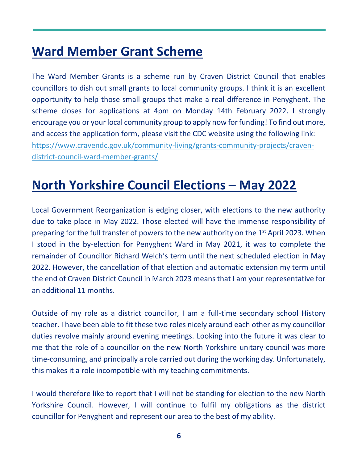### **Ward Member Grant Scheme**

The Ward Member Grants is a scheme run by Craven District Council that enables councillors to dish out small grants to local community groups. I think it is an excellent opportunity to help those small groups that make a real difference in Penyghent. The scheme closes for applications at 4pm on Monday 14th February 2022. I strongly encourage you or your local community group to apply now for funding! To find out more, and access the application form, please visit the CDC website using the following link: [https://www.cravendc.gov.uk/community-living/grants-community-projects/craven](https://www.cravendc.gov.uk/community-living/grants-community-projects/craven-district-council-ward-member-grants/)[district-council-ward-member-grants/](https://www.cravendc.gov.uk/community-living/grants-community-projects/craven-district-council-ward-member-grants/)

## **North Yorkshire Council Elections – May 2022**

Local Government Reorganization is edging closer, with elections to the new authority due to take place in May 2022. Those elected will have the immense responsibility of preparing for the full transfer of powers to the new authority on the  $1<sup>st</sup>$  April 2023. When I stood in the by-election for Penyghent Ward in May 2021, it was to complete the remainder of Councillor Richard Welch's term until the next scheduled election in May 2022. However, the cancellation of that election and automatic extension my term until the end of Craven District Council in March 2023 means that I am your representative for an additional 11 months.

Outside of my role as a district councillor, I am a full-time secondary school History teacher. I have been able to fit these two roles nicely around each other as my councillor duties revolve mainly around evening meetings. Looking into the future it was clear to me that the role of a councillor on the new North Yorkshire unitary council was more time-consuming, and principally a role carried out during the working day. Unfortunately, this makes it a role incompatible with my teaching commitments.

I would therefore like to report that I will not be standing for election to the new North Yorkshire Council. However, I will continue to fulfil my obligations as the district councillor for Penyghent and represent our area to the best of my ability.